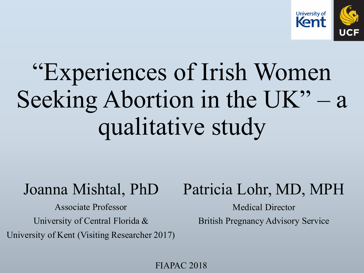

# "Experiences of Irish Women Seeking Abortion in the UK" – a qualitative study

## Joanna Mishtal, PhD

Associate Professor University of Central Florida & University of Kent (Visiting Researcher 2017)

## Patricia Lohr, MD, MPH

Medical Director British Pregnancy Advisory Service

FIAPAC 2018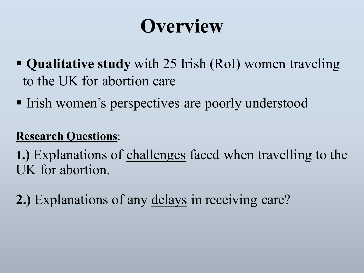## **Overview**

- § **Qualitative study** with 25 Irish (RoI) women traveling to the UK for abortion care
- Irish women's perspectives are poorly understood

#### **Research Questions**:

**1.)** Explanations of challenges faced when travelling to the UK for abortion.

**2.)** Explanations of any delays in receiving care?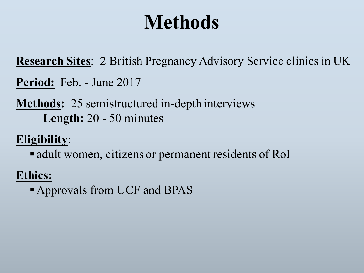## **Methods**

**Research Sites**: 2 British Pregnancy Advisory Service clinics in UK

- **Period:** Feb. June 2017
- **Methods:** 25 semistructured in-depth interviews **Length:** 20 - 50 minutes

#### **Eligibility**:

• adult women, citizens or permanent residents of RoI

#### **Ethics:**

§Approvals from UCF and BPAS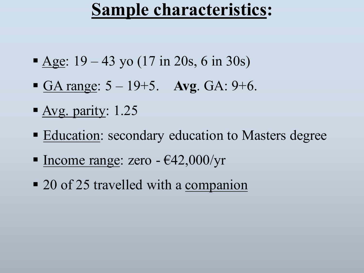## **Sample characteristics:**

- Age:  $19 43$  yo (17 in 20s, 6 in 30s)
- **GA range:**  $5 19 + 5$ **. Avg. GA:**  $9 + 6$ **.**
- § Avg. parity: 1.25
- Education: secondary education to Masters degree
- Income range: zero  $-$  €42,000/yr
- 20 of 25 travelled with a companion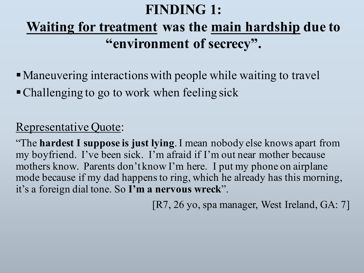#### **FINDING 1:**

## **Waiting for treatment was the main hardship due to "environment of secrecy".**

- Maneuvering interactions with people while waiting to travel
- Challenging to go to work when feeling sick

#### Representative Quote:

"The **hardest I suppose is just lying**. I mean nobody else knows apart from my boyfriend. I've been sick. I'm afraid if I'm out near mother because mothers know. Parents don't know I'm here. I put my phone on airplane mode because if my dad happens to ring, which he already has this morning, it's a foreign dial tone. So **I'm a nervous wreck**".

[R7, 26 yo, spa manager, West Ireland, GA: 7]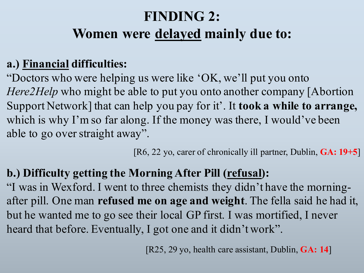## **FINDING 2: Women were delayed mainly due to:**

#### **a.) Financial difficulties:**

"Doctors who were helping us were like 'OK, we'll put you onto *Here2Help* who might be able to put you onto another company [Abortion] Support Network] that can help you pay for it'. It **took a while to arrange,**  which is why I'm so far along. If the money was there, I would've been able to go over straight away".

[R6, 22 yo, carer of chronically ill partner, Dublin, **GA: 19+5**]

#### **b.) Difficulty getting the Morning After Pill (refusal):**

"I was in Wexford. I went to three chemists they didn't have the morningafter pill. One man **refused me on age and weight**. The fella said he had it, but he wanted me to go see their local GP first. I was mortified, I never heard that before. Eventually, I got one and it didn't work".

[R25, 29 yo, health care assistant, Dublin, **GA: 14**]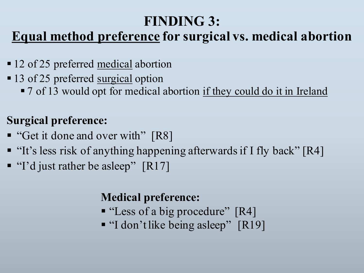#### **FINDING 3:**

#### **Equal method preference for surgical vs. medical abortion**

- 12 of 25 preferred medical abortion
- 13 of 25 preferred <u>surgical</u> option
	- 7 of 13 would opt for medical abortion if they could do it in Ireland

#### **Surgical preference:**

- "Get it done and over with" [R8]
- "It's less risk of anything happening afterwards if I fly back" [R4]
- "I'd just rather be asleep" [R17]

#### **Medical preference:**

- "Less of a big procedure" [R4]
- "I don't like being asleep" [R19]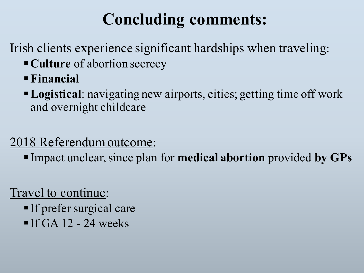## **Concluding comments:**

Irish clients experience significant hardships when traveling:

- §**Culture** of abortion secrecy
- §**Financial**
- §**Logistical**: navigating new airports, cities; getting time off work and overnight childcare

#### 2018 Referendum outcome:

§ Impact unclear, since plan for **medical abortion** provided **by GPs**

#### Travel to continue:

- § If prefer surgical care
- $\blacksquare$  If GA 12 24 weeks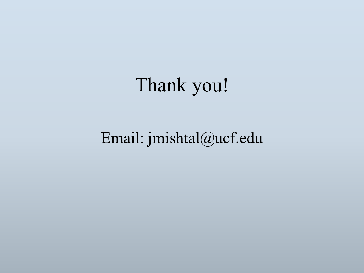Thank you!

Email: jmishtal@ucf.edu